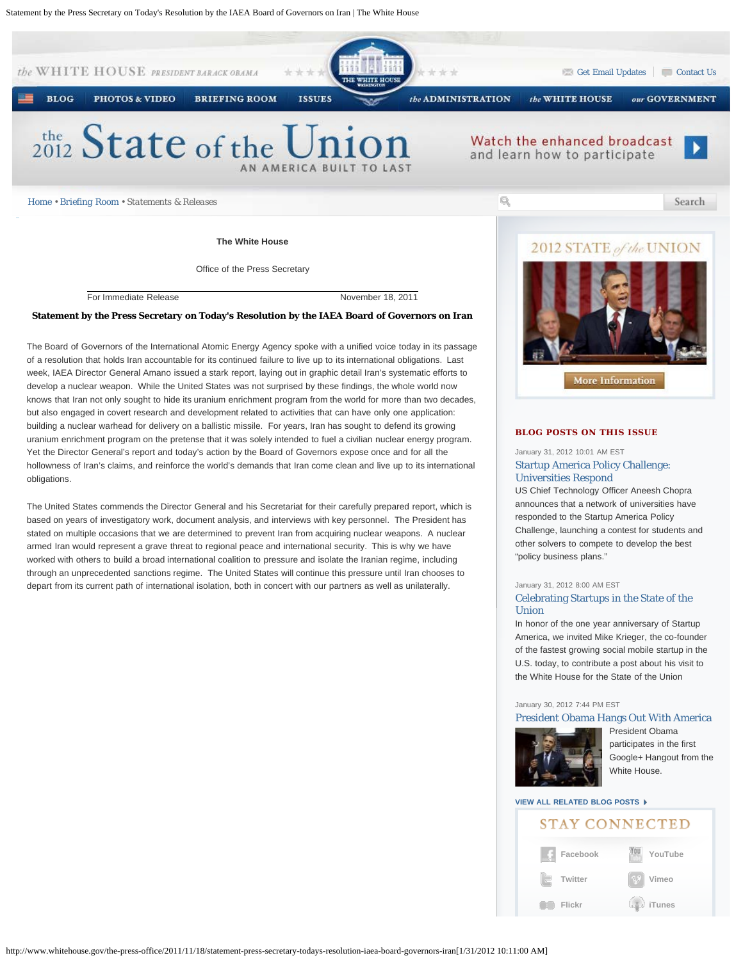

For Immediate Release November 18, 2011

### **Statement by the Press Secretary on Today's Resolution by the IAEA Board of Governors on Iran**

The Board of Governors of the International Atomic Energy Agency spoke with a unified voice today in its passage of a resolution that holds Iran accountable for its continued failure to live up to its international obligations. Last week, IAEA Director General Amano issued a stark report, laying out in graphic detail Iran's systematic efforts to develop a nuclear weapon. While the United States was not surprised by these findings, the whole world now knows that Iran not only sought to hide its uranium enrichment program from the world for more than two decades, but also engaged in covert research and development related to activities that can have only one application: building a nuclear warhead for delivery on a ballistic missile. For years, Iran has sought to defend its growing uranium enrichment program on the pretense that it was solely intended to fuel a civilian nuclear energy program. Yet the Director General's report and today's action by the Board of Governors expose once and for all the hollowness of Iran's claims, and reinforce the world's demands that Iran come clean and live up to its international obligations.

The United States commends the Director General and his Secretariat for their carefully prepared report, which is based on years of investigatory work, document analysis, and interviews with key personnel. The President has stated on multiple occasions that we are determined to prevent Iran from acquiring nuclear weapons. A nuclear armed Iran would represent a grave threat to regional peace and international security. This is why we have worked with others to build a broad international coalition to pressure and isolate the Iranian regime, including through an unprecedented sanctions regime. The United States will continue this pressure until Iran chooses to depart from its current path of international isolation, both in concert with our partners as well as unilaterally.



## **BLOG POSTS ON THIS ISSUE**

## January 31, 2012 10:01 AM EST [Startup America Policy Challenge:](http://www.whitehouse.gov/blog/2012/01/31/startup-america-policy-challenge-universities-respond) [Universities Respond](http://www.whitehouse.gov/blog/2012/01/31/startup-america-policy-challenge-universities-respond)

US Chief Technology Officer Aneesh Chopra announces that a network of universities have responded to the Startup America Policy Challenge, launching a contest for students and other solvers to compete to develop the best "policy business plans."

#### January 31, 2012 8:00 AM EST

## [Celebrating Startups in the State of the](http://www.whitehouse.gov/blog/2012/01/31/celebrating-startups-state-union) [Union](http://www.whitehouse.gov/blog/2012/01/31/celebrating-startups-state-union)

In honor of the one year anniversary of Startup America, we invited Mike Krieger, the co-founder of the fastest growing social mobile startup in the U.S. today, to contribute a post about his visit to the White House for the State of the Union

### January 30, 2012 7:44 PM EST

### [President Obama Hangs Out With America](http://www.whitehouse.gov/blog/2012/01/30/president-obama-hangs-out-america)



[P](http://www.whitehouse.gov/blog/2012/01/30/president-obama-hangs-out-america)resident Obama participates in the first Google+ Hangout from the White House.

# **[VIEW ALL RELATED BLOG POSTS](http://www.whitehouse.gov/blog/issues/white-house)**

# **STAY CONNECTED**